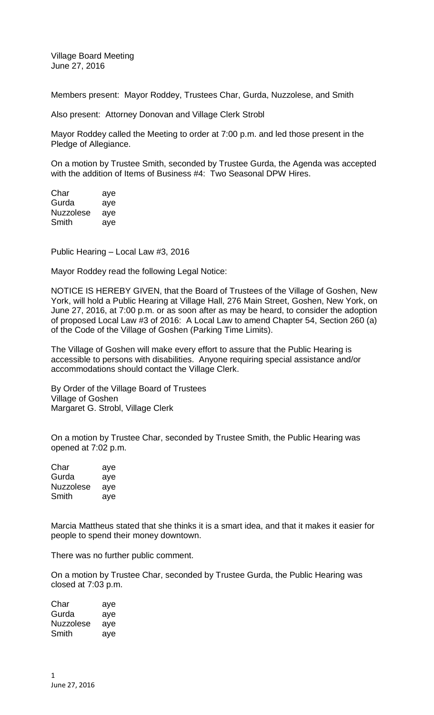Village Board Meeting June 27, 2016

Members present: Mayor Roddey, Trustees Char, Gurda, Nuzzolese, and Smith

Also present: Attorney Donovan and Village Clerk Strobl

Mayor Roddey called the Meeting to order at 7:00 p.m. and led those present in the Pledge of Allegiance.

On a motion by Trustee Smith, seconded by Trustee Gurda, the Agenda was accepted with the addition of Items of Business #4: Two Seasonal DPW Hires.

Char aye Gurda aye Nuzzolese aye Smith aye

Public Hearing – Local Law #3, 2016

Mayor Roddey read the following Legal Notice:

NOTICE IS HEREBY GIVEN, that the Board of Trustees of the Village of Goshen, New York, will hold a Public Hearing at Village Hall, 276 Main Street, Goshen, New York, on June 27, 2016, at 7:00 p.m. or as soon after as may be heard, to consider the adoption of proposed Local Law #3 of 2016: A Local Law to amend Chapter 54, Section 260 (a) of the Code of the Village of Goshen (Parking Time Limits).

The Village of Goshen will make every effort to assure that the Public Hearing is accessible to persons with disabilities. Anyone requiring special assistance and/or accommodations should contact the Village Clerk.

By Order of the Village Board of Trustees Village of Goshen Margaret G. Strobl, Village Clerk

On a motion by Trustee Char, seconded by Trustee Smith, the Public Hearing was opened at 7:02 p.m.

| Char             | aye |
|------------------|-----|
| Gurda            | aye |
| <b>Nuzzolese</b> | aye |
| Smith            | aye |

Marcia Mattheus stated that she thinks it is a smart idea, and that it makes it easier for people to spend their money downtown.

There was no further public comment.

On a motion by Trustee Char, seconded by Trustee Gurda, the Public Hearing was closed at 7:03 p.m.

Char aye Gurda aye Nuzzolese aye Smith aye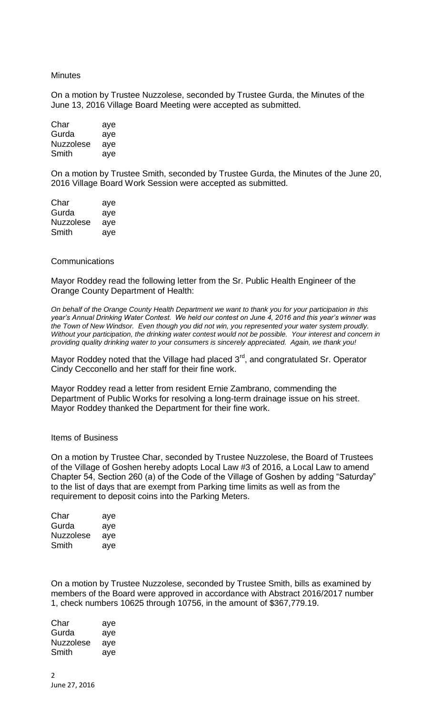## **Minutes**

On a motion by Trustee Nuzzolese, seconded by Trustee Gurda, the Minutes of the June 13, 2016 Village Board Meeting were accepted as submitted.

| Char             | aye |
|------------------|-----|
| Gurda            | aye |
| <b>Nuzzolese</b> | aye |
| Smith            | aye |

On a motion by Trustee Smith, seconded by Trustee Gurda, the Minutes of the June 20, 2016 Village Board Work Session were accepted as submitted.

| Char      | aye |
|-----------|-----|
| Gurda     | aye |
| Nuzzolese | aye |
| Smith     | aye |

## **Communications**

Mayor Roddey read the following letter from the Sr. Public Health Engineer of the Orange County Department of Health:

*On behalf of the Orange County Health Department we want to thank you for your participation in this year's Annual Drinking Water Contest. We held our contest on June 4, 2016 and this year's winner was the Town of New Windsor. Even though you did not win, you represented your water system proudly. Without your participation, the drinking water contest would not be possible. Your interest and concern in providing quality drinking water to your consumers is sincerely appreciated. Again, we thank you!*

Mayor Roddey noted that the Village had placed  $3<sup>rd</sup>$ , and congratulated Sr. Operator Cindy Cecconello and her staff for their fine work.

Mayor Roddey read a letter from resident Ernie Zambrano, commending the Department of Public Works for resolving a long-term drainage issue on his street. Mayor Roddey thanked the Department for their fine work.

## Items of Business

On a motion by Trustee Char, seconded by Trustee Nuzzolese, the Board of Trustees of the Village of Goshen hereby adopts Local Law #3 of 2016, a Local Law to amend Chapter 54, Section 260 (a) of the Code of the Village of Goshen by adding "Saturday" to the list of days that are exempt from Parking time limits as well as from the requirement to deposit coins into the Parking Meters.

| Char      | aye |
|-----------|-----|
| Gurda     | aye |
| Nuzzolese | aye |
| Smith     | aye |

On a motion by Trustee Nuzzolese, seconded by Trustee Smith, bills as examined by members of the Board were approved in accordance with Abstract 2016/2017 number 1, check numbers 10625 through 10756, in the amount of \$367,779.19.

| Char      | aye |
|-----------|-----|
| Gurda     | aye |
| Nuzzolese | aye |
| Smith     | aye |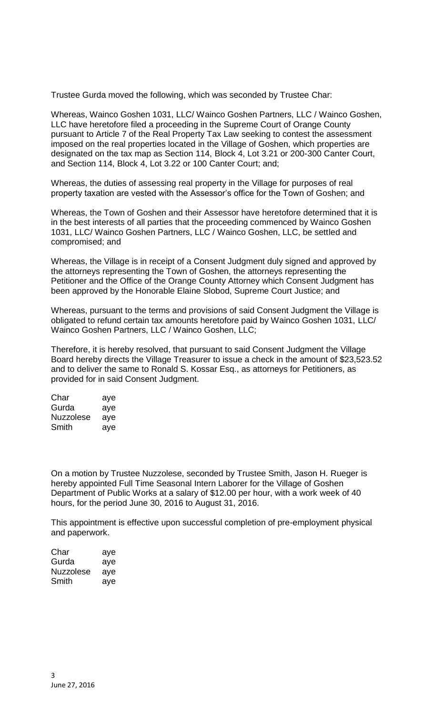Trustee Gurda moved the following, which was seconded by Trustee Char:

Whereas, Wainco Goshen 1031, LLC/ Wainco Goshen Partners, LLC / Wainco Goshen, LLC have heretofore filed a proceeding in the Supreme Court of Orange County pursuant to Article 7 of the Real Property Tax Law seeking to contest the assessment imposed on the real properties located in the Village of Goshen, which properties are designated on the tax map as Section 114, Block 4, Lot 3.21 or 200-300 Canter Court, and Section 114, Block 4, Lot 3.22 or 100 Canter Court; and;

Whereas, the duties of assessing real property in the Village for purposes of real property taxation are vested with the Assessor's office for the Town of Goshen; and

Whereas, the Town of Goshen and their Assessor have heretofore determined that it is in the best interests of all parties that the proceeding commenced by Wainco Goshen 1031, LLC/ Wainco Goshen Partners, LLC / Wainco Goshen, LLC, be settled and compromised; and

Whereas, the Village is in receipt of a Consent Judgment duly signed and approved by the attorneys representing the Town of Goshen, the attorneys representing the Petitioner and the Office of the Orange County Attorney which Consent Judgment has been approved by the Honorable Elaine Slobod, Supreme Court Justice; and

Whereas, pursuant to the terms and provisions of said Consent Judgment the Village is obligated to refund certain tax amounts heretofore paid by Wainco Goshen 1031, LLC/ Wainco Goshen Partners, LLC / Wainco Goshen, LLC;

Therefore, it is hereby resolved, that pursuant to said Consent Judgment the Village Board hereby directs the Village Treasurer to issue a check in the amount of \$23,523.52 and to deliver the same to Ronald S. Kossar Esq., as attorneys for Petitioners, as provided for in said Consent Judgment.

| Char      | aye |
|-----------|-----|
| Gurda     | aye |
| Nuzzolese | ave |
| Smith     | ave |

On a motion by Trustee Nuzzolese, seconded by Trustee Smith, Jason H. Rueger is hereby appointed Full Time Seasonal Intern Laborer for the Village of Goshen Department of Public Works at a salary of \$12.00 per hour, with a work week of 40 hours, for the period June 30, 2016 to August 31, 2016.

This appointment is effective upon successful completion of pre-employment physical and paperwork.

| Char      | aye |
|-----------|-----|
| Gurda     | aye |
| Nuzzolese | aye |
| Smith     | aye |